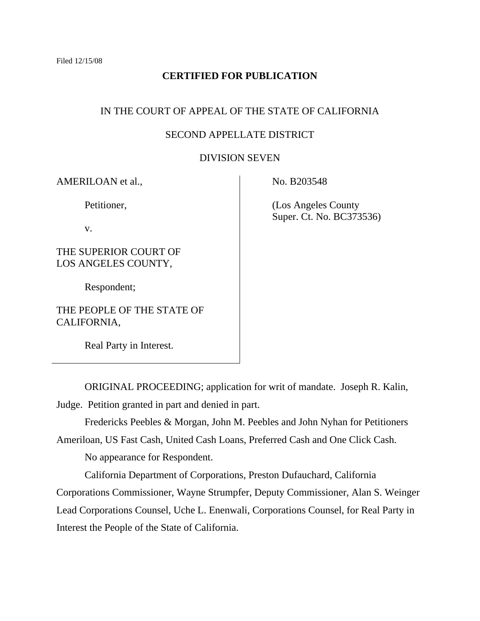## **CERTIFIED FOR PUBLICATION**

## IN THE COURT OF APPEAL OF THE STATE OF CALIFORNIA

## SECOND APPELLATE DISTRICT

### DIVISION SEVEN

AMERILOAN et al.,

Petitioner,

v.

THE SUPERIOR COURT OF LOS ANGELES COUNTY,

Respondent;

THE PEOPLE OF THE STATE OF CALIFORNIA,

Real Party in Interest.

No. B203548

 (Los Angeles County Super. Ct. No. BC373536)

 ORIGINAL PROCEEDING; application for writ of mandate. Joseph R. Kalin, Judge. Petition granted in part and denied in part.

Fredericks Peebles & Morgan, John M. Peebles and John Nyhan for Petitioners

Ameriloan, US Fast Cash, United Cash Loans, Preferred Cash and One Click Cash.

No appearance for Respondent.

 California Department of Corporations, Preston Dufauchard, California Corporations Commissioner, Wayne Strumpfer, Deputy Commissioner, Alan S. Weinger

Lead Corporations Counsel, Uche L. Enenwali, Corporations Counsel, for Real Party in Interest the People of the State of California.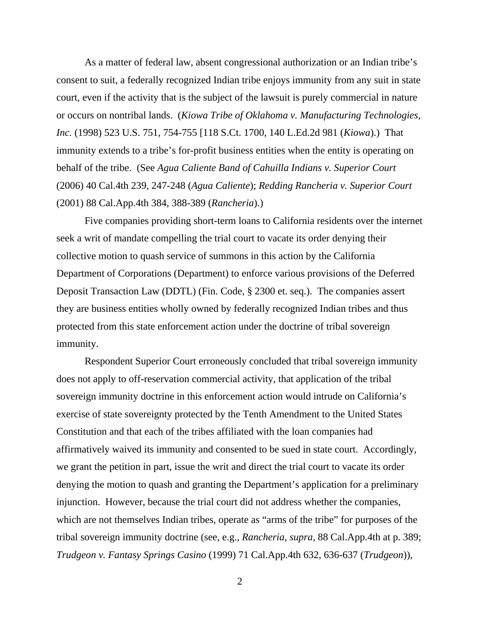As a matter of federal law, absent congressional authorization or an Indian tribe's consent to suit, a federally recognized Indian tribe enjoys immunity from any suit in state court, even if the activity that is the subject of the lawsuit is purely commercial in nature or occurs on nontribal lands. (*Kiowa Tribe of Oklahoma v. Manufacturing Technologies, Inc.* (1998) 523 U.S. 751, 754-755 [118 S.Ct. 1700, 140 L.Ed.2d 981 (*Kiowa*).) That immunity extends to a tribe's for-profit business entities when the entity is operating on behalf of the tribe. (See *Agua Caliente Band of Cahuilla Indians v. Superior Court*  (2006) 40 Cal.4th 239, 247-248 (*Agua Caliente*); *Redding Rancheria v. Superior Court*  (2001) 88 Cal.App.4th 384, 388-389 (*Rancheria*).)

 Five companies providing short-term loans to California residents over the internet seek a writ of mandate compelling the trial court to vacate its order denying their collective motion to quash service of summons in this action by the California Department of Corporations (Department) to enforce various provisions of the Deferred Deposit Transaction Law (DDTL) (Fin. Code, § 2300 et. seq.). The companies assert they are business entities wholly owned by federally recognized Indian tribes and thus protected from this state enforcement action under the doctrine of tribal sovereign immunity.

 Respondent Superior Court erroneously concluded that tribal sovereign immunity does not apply to off-reservation commercial activity, that application of the tribal sovereign immunity doctrine in this enforcement action would intrude on California's exercise of state sovereignty protected by the Tenth Amendment to the United States Constitution and that each of the tribes affiliated with the loan companies had affirmatively waived its immunity and consented to be sued in state court. Accordingly, we grant the petition in part, issue the writ and direct the trial court to vacate its order denying the motion to quash and granting the Department's application for a preliminary injunction. However, because the trial court did not address whether the companies, which are not themselves Indian tribes, operate as "arms of the tribe" for purposes of the tribal sovereign immunity doctrine (see, e.g., *Rancheria, supra,* 88 Cal.App.4th at p. 389; *Trudgeon v. Fantasy Springs Casino* (1999) 71 Cal.App.4th 632, 636-637 (*Trudgeon*)),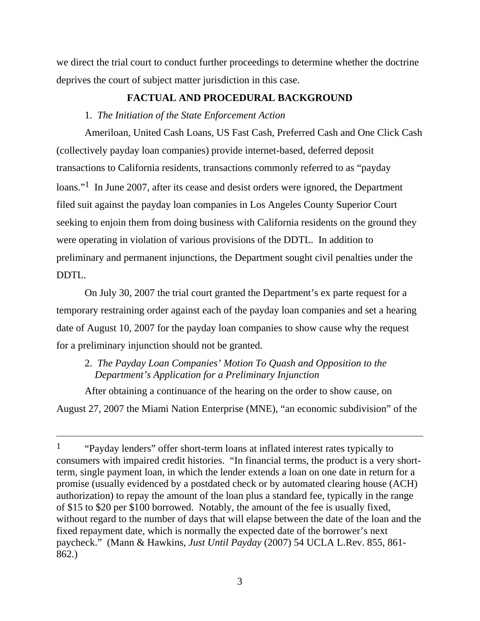we direct the trial court to conduct further proceedings to determine whether the doctrine deprives the court of subject matter jurisdiction in this case.

# **FACTUAL AND PROCEDURAL BACKGROUND**

# 1. *The Initiation of the State Enforcement Action*

 Ameriloan, United Cash Loans, US Fast Cash, Preferred Cash and One Click Cash (collectively payday loan companies) provide internet-based, deferred deposit transactions to California residents, transactions commonly referred to as "payday loans."<sup>1</sup> In June 2007, after its cease and desist orders were ignored, the Department filed suit against the payday loan companies in Los Angeles County Superior Court seeking to enjoin them from doing business with California residents on the ground they were operating in violation of various provisions of the DDTL. In addition to preliminary and permanent injunctions, the Department sought civil penalties under the DDTL.

 On July 30, 2007 the trial court granted the Department's ex parte request for a temporary restraining order against each of the payday loan companies and set a hearing date of August 10, 2007 for the payday loan companies to show cause why the request for a preliminary injunction should not be granted.

 2. *The Payday Loan Companies' Motion To Quash and Opposition to the Department's Application for a Preliminary Injunction* 

 After obtaining a continuance of the hearing on the order to show cause, on August 27, 2007 the Miami Nation Enterprise (MNE), "an economic subdivision" of the

<sup>&</sup>lt;sup>1</sup> "Payday lenders" offer short-term loans at inflated interest rates typically to consumers with impaired credit histories. "In financial terms, the product is a very shortterm, single payment loan, in which the lender extends a loan on one date in return for a promise (usually evidenced by a postdated check or by automated clearing house (ACH) authorization) to repay the amount of the loan plus a standard fee, typically in the range of \$15 to \$20 per \$100 borrowed. Notably, the amount of the fee is usually fixed, without regard to the number of days that will elapse between the date of the loan and the fixed repayment date, which is normally the expected date of the borrower's next paycheck." (Mann & Hawkins, *Just Until Payday* (2007) 54 UCLA L.Rev. 855, 861- 862.)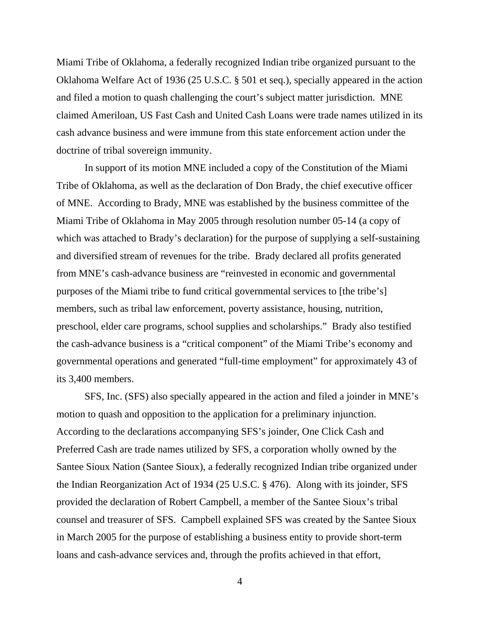Miami Tribe of Oklahoma, a federally recognized Indian tribe organized pursuant to the Oklahoma Welfare Act of 1936 (25 U.S.C. § 501 et seq.), specially appeared in the action and filed a motion to quash challenging the court's subject matter jurisdiction. MNE claimed Ameriloan, US Fast Cash and United Cash Loans were trade names utilized in its cash advance business and were immune from this state enforcement action under the doctrine of tribal sovereign immunity.

 In support of its motion MNE included a copy of the Constitution of the Miami Tribe of Oklahoma, as well as the declaration of Don Brady, the chief executive officer of MNE. According to Brady, MNE was established by the business committee of the Miami Tribe of Oklahoma in May 2005 through resolution number 05-14 (a copy of which was attached to Brady's declaration) for the purpose of supplying a self-sustaining and diversified stream of revenues for the tribe. Brady declared all profits generated from MNE's cash-advance business are "reinvested in economic and governmental purposes of the Miami tribe to fund critical governmental services to [the tribe's] members, such as tribal law enforcement, poverty assistance, housing, nutrition, preschool, elder care programs, school supplies and scholarships." Brady also testified the cash-advance business is a "critical component" of the Miami Tribe's economy and governmental operations and generated "full-time employment" for approximately 43 of its 3,400 members.

 SFS, Inc. (SFS) also specially appeared in the action and filed a joinder in MNE's motion to quash and opposition to the application for a preliminary injunction. According to the declarations accompanying SFS's joinder, One Click Cash and Preferred Cash are trade names utilized by SFS, a corporation wholly owned by the Santee Sioux Nation (Santee Sioux), a federally recognized Indian tribe organized under the Indian Reorganization Act of 1934 (25 U.S.C. § 476). Along with its joinder, SFS provided the declaration of Robert Campbell, a member of the Santee Sioux's tribal counsel and treasurer of SFS. Campbell explained SFS was created by the Santee Sioux in March 2005 for the purpose of establishing a business entity to provide short-term loans and cash-advance services and, through the profits achieved in that effort,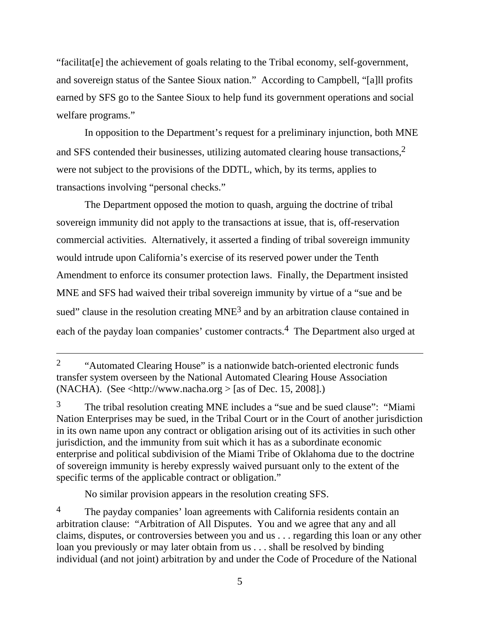"facilitat[e] the achievement of goals relating to the Tribal economy, self-government, and sovereign status of the Santee Sioux nation." According to Campbell, "[a]ll profits earned by SFS go to the Santee Sioux to help fund its government operations and social welfare programs."

 In opposition to the Department's request for a preliminary injunction, both MNE and SFS contended their businesses, utilizing automated clearing house transactions,  $2$ were not subject to the provisions of the DDTL, which, by its terms, applies to transactions involving "personal checks."

 The Department opposed the motion to quash, arguing the doctrine of tribal sovereign immunity did not apply to the transactions at issue, that is, off-reservation commercial activities. Alternatively, it asserted a finding of tribal sovereign immunity would intrude upon California's exercise of its reserved power under the Tenth Amendment to enforce its consumer protection laws. Finally, the Department insisted MNE and SFS had waived their tribal sovereign immunity by virtue of a "sue and be sued" clause in the resolution creating MNE<sup>3</sup> and by an arbitration clause contained in each of the payday loan companies' customer contracts.<sup>4</sup> The Department also urged at

3The tribal resolution creating MNE includes a "sue and be sued clause": "Miami Nation Enterprises may be sued, in the Tribal Court or in the Court of another jurisdiction in its own name upon any contract or obligation arising out of its activities in such other jurisdiction, and the immunity from suit which it has as a subordinate economic enterprise and political subdivision of the Miami Tribe of Oklahoma due to the doctrine of sovereign immunity is hereby expressly waived pursuant only to the extent of the specific terms of the applicable contract or obligation."

No similar provision appears in the resolution creating SFS.

<sup>&</sup>lt;sup>2</sup> "Automated Clearing House" is a nationwide batch-oriented electronic funds transfer system overseen by the National Automated Clearing House Association (NACHA). (See  $\langle$ http://www.nacha.org  $>$  [as of Dec. 15, 2008].)

<sup>&</sup>lt;sup>4</sup> The payday companies' loan agreements with California residents contain an arbitration clause: "Arbitration of All Disputes. You and we agree that any and all claims, disputes, or controversies between you and us . . . regarding this loan or any other loan you previously or may later obtain from us . . . shall be resolved by binding individual (and not joint) arbitration by and under the Code of Procedure of the National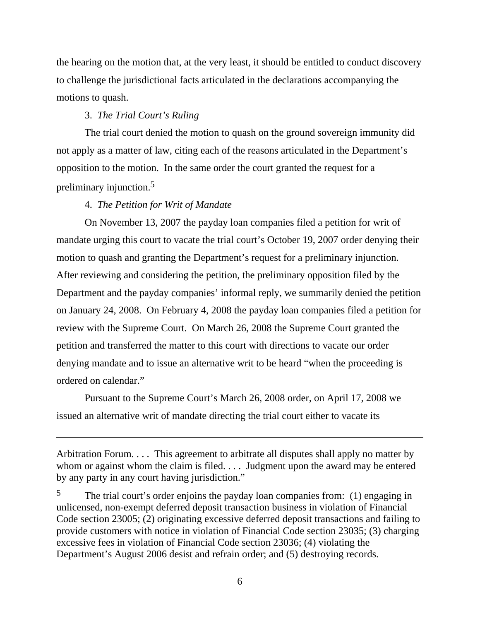the hearing on the motion that, at the very least, it should be entitled to conduct discovery to challenge the jurisdictional facts articulated in the declarations accompanying the motions to quash.

### 3. *The Trial Court's Ruling*

 The trial court denied the motion to quash on the ground sovereign immunity did not apply as a matter of law, citing each of the reasons articulated in the Department's opposition to the motion. In the same order the court granted the request for a preliminary injunction.5

### 4. *The Petition for Writ of Mandate*

On November 13, 2007 the payday loan companies filed a petition for writ of mandate urging this court to vacate the trial court's October 19, 2007 order denying their motion to quash and granting the Department's request for a preliminary injunction. After reviewing and considering the petition, the preliminary opposition filed by the Department and the payday companies' informal reply, we summarily denied the petition on January 24, 2008. On February 4, 2008 the payday loan companies filed a petition for review with the Supreme Court. On March 26, 2008 the Supreme Court granted the petition and transferred the matter to this court with directions to vacate our order denying mandate and to issue an alternative writ to be heard "when the proceeding is ordered on calendar."

 Pursuant to the Supreme Court's March 26, 2008 order, on April 17, 2008 we issued an alternative writ of mandate directing the trial court either to vacate its

Arbitration Forum. . . . This agreement to arbitrate all disputes shall apply no matter by whom or against whom the claim is filed. . . . Judgment upon the award may be entered by any party in any court having jurisdiction."

<sup>5</sup>The trial court's order enjoins the payday loan companies from: (1) engaging in unlicensed, non-exempt deferred deposit transaction business in violation of Financial Code section 23005; (2) originating excessive deferred deposit transactions and failing to provide customers with notice in violation of Financial Code section 23035; (3) charging excessive fees in violation of Financial Code section 23036; (4) violating the Department's August 2006 desist and refrain order; and (5) destroying records.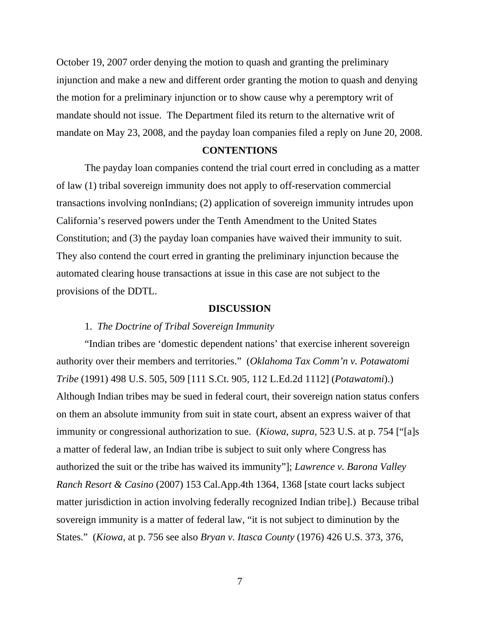October 19, 2007 order denying the motion to quash and granting the preliminary injunction and make a new and different order granting the motion to quash and denying the motion for a preliminary injunction or to show cause why a peremptory writ of mandate should not issue. The Department filed its return to the alternative writ of mandate on May 23, 2008, and the payday loan companies filed a reply on June 20, 2008.

### **CONTENTIONS**

The payday loan companies contend the trial court erred in concluding as a matter of law (1) tribal sovereign immunity does not apply to off-reservation commercial transactions involving nonIndians; (2) application of sovereign immunity intrudes upon California's reserved powers under the Tenth Amendment to the United States Constitution; and (3) the payday loan companies have waived their immunity to suit. They also contend the court erred in granting the preliminary injunction because the automated clearing house transactions at issue in this case are not subject to the provisions of the DDTL.

#### **DISCUSSION**

### 1. *The Doctrine of Tribal Sovereign Immunity*

 "Indian tribes are 'domestic dependent nations' that exercise inherent sovereign authority over their members and territories." (*Oklahoma Tax Comm'n v. Potawatomi Tribe* (1991) 498 U.S. 505, 509 [111 S.Ct. 905, 112 L.Ed.2d 1112] (*Potawatomi*).) Although Indian tribes may be sued in federal court, their sovereign nation status confers on them an absolute immunity from suit in state court, absent an express waiver of that immunity or congressional authorization to sue. (*Kiowa, supra,* 523 U.S. at p. 754 ["[a]s a matter of federal law, an Indian tribe is subject to suit only where Congress has authorized the suit or the tribe has waived its immunity"]; *Lawrence v. Barona Valley Ranch Resort & Casino* (2007) 153 Cal.App.4th 1364, 1368 [state court lacks subject matter jurisdiction in action involving federally recognized Indian tribe].) Because tribal sovereign immunity is a matter of federal law, "it is not subject to diminution by the States." (*Kiowa*, at p. 756 see also *Bryan v. Itasca County* (1976) 426 U.S. 373, 376,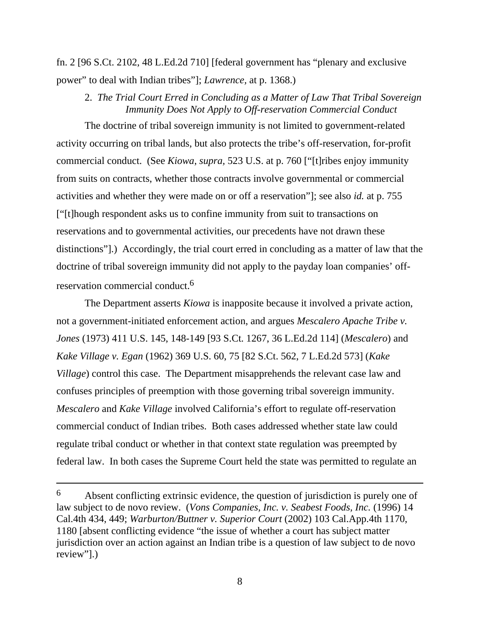fn. 2 [96 S.Ct. 2102, 48 L.Ed.2d 710] [federal government has "plenary and exclusive power" to deal with Indian tribes"]; *Lawrence,* at p. 1368.)

## 2. *The Trial Court Erred in Concluding as a Matter of Law That Tribal Sovereign Immunity Does Not Apply to Off-reservation Commercial Conduct*

 The doctrine of tribal sovereign immunity is not limited to government-related activity occurring on tribal lands, but also protects the tribe's off-reservation, for-profit commercial conduct. (See *Kiowa*, *supra,* 523 U.S. at p. 760 ["[t]ribes enjoy immunity from suits on contracts, whether those contracts involve governmental or commercial activities and whether they were made on or off a reservation"]; see also *id.* at p. 755 ["[t]hough respondent asks us to confine immunity from suit to transactions on reservations and to governmental activities, our precedents have not drawn these distinctions"].) Accordingly, the trial court erred in concluding as a matter of law that the doctrine of tribal sovereign immunity did not apply to the payday loan companies' offreservation commercial conduct.6

The Department asserts *Kiowa* is inapposite because it involved a private action, not a government-initiated enforcement action, and argues *Mescalero Apache Tribe v. Jones* (1973) 411 U.S. 145, 148-149 [93 S.Ct. 1267, 36 L.Ed.2d 114] (*Mescalero*) and *Kake Village v. Egan* (1962) 369 U.S. 60, 75 [82 S.Ct. 562, 7 L.Ed.2d 573] (*Kake Village*) control this case. The Department misapprehends the relevant case law and confuses principles of preemption with those governing tribal sovereign immunity. *Mescalero* and *Kake Village* involved California's effort to regulate off-reservation commercial conduct of Indian tribes. Both cases addressed whether state law could regulate tribal conduct or whether in that context state regulation was preempted by federal law. In both cases the Supreme Court held the state was permitted to regulate an

<sup>6</sup>Absent conflicting extrinsic evidence, the question of jurisdiction is purely one of law subject to de novo review. (*Vons Companies*, *Inc. v. Seabest Foods, Inc.* (1996) 14 Cal.4th 434, 449; *Warburton/Buttner v. Superior Court* (2002) 103 Cal.App.4th 1170, 1180 [absent conflicting evidence "the issue of whether a court has subject matter jurisdiction over an action against an Indian tribe is a question of law subject to de novo review"].)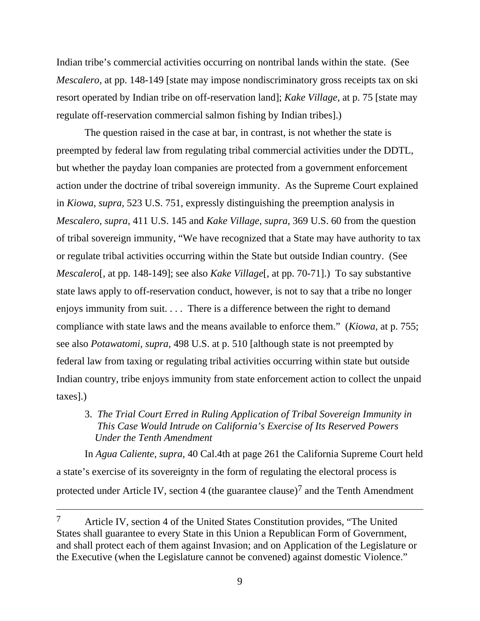Indian tribe's commercial activities occurring on nontribal lands within the state. (See *Mescalero*, at pp. 148-149 [state may impose nondiscriminatory gross receipts tax on ski resort operated by Indian tribe on off-reservation land]; *Kake Village*, at p. 75 [state may regulate off-reservation commercial salmon fishing by Indian tribes].)

 The question raised in the case at bar, in contrast, is not whether the state is preempted by federal law from regulating tribal commercial activities under the DDTL, but whether the payday loan companies are protected from a government enforcement action under the doctrine of tribal sovereign immunity. As the Supreme Court explained in *Kiowa, supra,* 523 U.S. 751, expressly distinguishing the preemption analysis in *Mescalero, supra,* 411 U.S. 145 and *Kake Village, supra,* 369 U.S. 60 from the question of tribal sovereign immunity, "We have recognized that a State may have authority to tax or regulate tribal activities occurring within the State but outside Indian country. (See *Mescalero*[, at pp. 148-149]; see also *Kake Village*[, at pp. 70-71].) To say substantive state laws apply to off-reservation conduct, however, is not to say that a tribe no longer enjoys immunity from suit. . . . There is a difference between the right to demand compliance with state laws and the means available to enforce them." (*Kiowa,* at p. 755; see also *Potawatomi, supra,* 498 U.S. at p. 510 [although state is not preempted by federal law from taxing or regulating tribal activities occurring within state but outside Indian country, tribe enjoys immunity from state enforcement action to collect the unpaid taxes].)

 3. *The Trial Court Erred in Ruling Application of Tribal Sovereign Immunity in This Case Would Intrude on California's Exercise of Its Reserved Powers Under the Tenth Amendment* 

In *Agua Caliente, supra,* 40 Cal.4th at page 261 the California Supreme Court held a state's exercise of its sovereignty in the form of regulating the electoral process is protected under Article IV, section 4 (the guarantee clause)<sup>7</sup> and the Tenth Amendment

<sup>7</sup> Article IV, section 4 of the United States Constitution provides, "The United States shall guarantee to every State in this Union a Republican Form of Government, and shall protect each of them against Invasion; and on Application of the Legislature or the Executive (when the Legislature cannot be convened) against domestic Violence."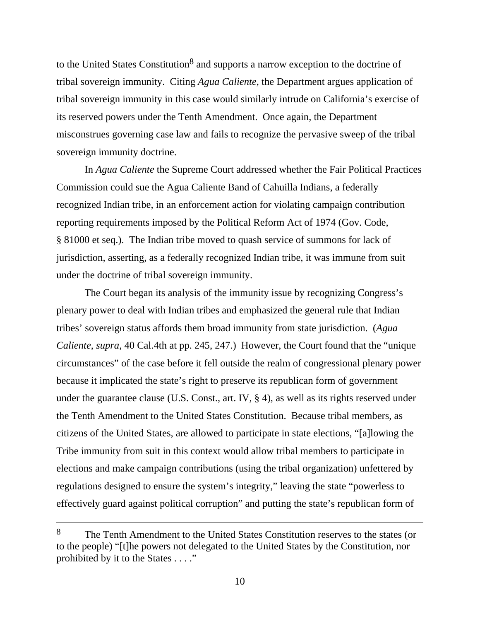to the United States Constitution<sup>8</sup> and supports a narrow exception to the doctrine of tribal sovereign immunity. Citing *Agua Caliente*, the Department argues application of tribal sovereign immunity in this case would similarly intrude on California's exercise of its reserved powers under the Tenth Amendment. Once again, the Department misconstrues governing case law and fails to recognize the pervasive sweep of the tribal sovereign immunity doctrine.

In *Agua Caliente* the Supreme Court addressed whether the Fair Political Practices Commission could sue the Agua Caliente Band of Cahuilla Indians, a federally recognized Indian tribe, in an enforcement action for violating campaign contribution reporting requirements imposed by the Political Reform Act of 1974 (Gov. Code, § 81000 et seq.). The Indian tribe moved to quash service of summons for lack of jurisdiction, asserting, as a federally recognized Indian tribe, it was immune from suit under the doctrine of tribal sovereign immunity.

 The Court began its analysis of the immunity issue by recognizing Congress's plenary power to deal with Indian tribes and emphasized the general rule that Indian tribes' sovereign status affords them broad immunity from state jurisdiction. (*Agua Caliente*, *supra*, 40 Cal.4th at pp. 245, 247.) However, the Court found that the "unique circumstances" of the case before it fell outside the realm of congressional plenary power because it implicated the state's right to preserve its republican form of government under the guarantee clause (U.S. Const., art. IV, § 4), as well as its rights reserved under the Tenth Amendment to the United States Constitution. Because tribal members, as citizens of the United States, are allowed to participate in state elections, "[a]lowing the Tribe immunity from suit in this context would allow tribal members to participate in elections and make campaign contributions (using the tribal organization) unfettered by regulations designed to ensure the system's integrity," leaving the state "powerless to effectively guard against political corruption" and putting the state's republican form of

<sup>8</sup>The Tenth Amendment to the United States Constitution reserves to the states (or to the people) "[t]he powers not delegated to the United States by the Constitution, nor prohibited by it to the States . . . ."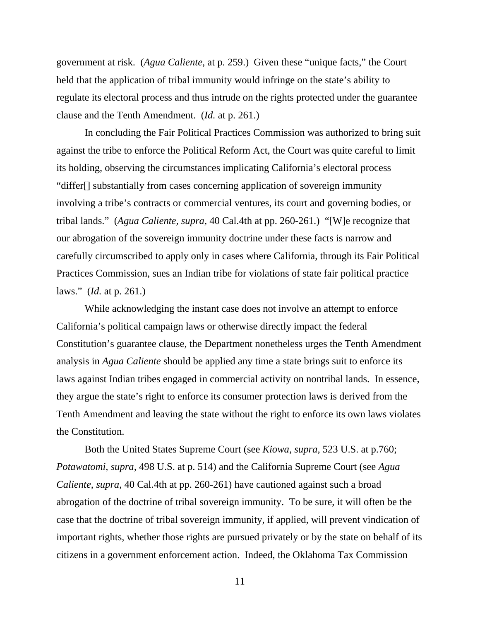government at risk. (*Agua Caliente*, at p. 259.) Given these "unique facts," the Court held that the application of tribal immunity would infringe on the state's ability to regulate its electoral process and thus intrude on the rights protected under the guarantee clause and the Tenth Amendment. (*Id.* at p. 261.)

 In concluding the Fair Political Practices Commission was authorized to bring suit against the tribe to enforce the Political Reform Act, the Court was quite careful to limit its holding, observing the circumstances implicating California's electoral process "differ[] substantially from cases concerning application of sovereign immunity involving a tribe's contracts or commercial ventures, its court and governing bodies, or tribal lands." (*Agua Caliente, supra,* 40 Cal.4th at pp. 260-261.) "[W]e recognize that our abrogation of the sovereign immunity doctrine under these facts is narrow and carefully circumscribed to apply only in cases where California, through its Fair Political Practices Commission, sues an Indian tribe for violations of state fair political practice laws." (*Id.* at p. 261.)

 While acknowledging the instant case does not involve an attempt to enforce California's political campaign laws or otherwise directly impact the federal Constitution's guarantee clause, the Department nonetheless urges the Tenth Amendment analysis in *Agua Caliente* should be applied any time a state brings suit to enforce its laws against Indian tribes engaged in commercial activity on nontribal lands. In essence, they argue the state's right to enforce its consumer protection laws is derived from the Tenth Amendment and leaving the state without the right to enforce its own laws violates the Constitution.

 Both the United States Supreme Court (see *Kiowa, supra,* 523 U.S. at p.760; *Potawatomi, supra,* 498 U.S. at p. 514) and the California Supreme Court (see *Agua Caliente, supra,* 40 Cal.4th at pp. 260-261) have cautioned against such a broad abrogation of the doctrine of tribal sovereign immunity. To be sure, it will often be the case that the doctrine of tribal sovereign immunity, if applied, will prevent vindication of important rights, whether those rights are pursued privately or by the state on behalf of its citizens in a government enforcement action. Indeed, the Oklahoma Tax Commission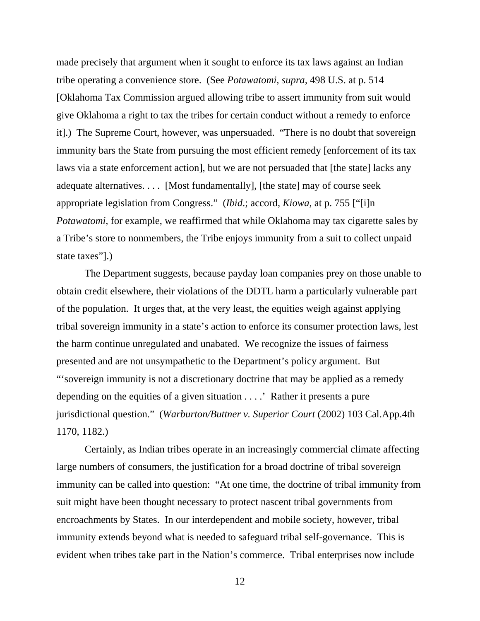made precisely that argument when it sought to enforce its tax laws against an Indian tribe operating a convenience store. (See *Potawatomi, supra,* 498 U.S. at p. 514 [Oklahoma Tax Commission argued allowing tribe to assert immunity from suit would give Oklahoma a right to tax the tribes for certain conduct without a remedy to enforce it].) The Supreme Court, however, was unpersuaded. "There is no doubt that sovereign immunity bars the State from pursuing the most efficient remedy [enforcement of its tax laws via a state enforcement action], but we are not persuaded that [the state] lacks any adequate alternatives. . . . [Most fundamentally], [the state] may of course seek appropriate legislation from Congress." (*Ibid*.; accord, *Kiowa*, at p. 755 ["[i]n *Potawatomi,* for example, we reaffirmed that while Oklahoma may tax cigarette sales by a Tribe's store to nonmembers, the Tribe enjoys immunity from a suit to collect unpaid state taxes"].)

 The Department suggests, because payday loan companies prey on those unable to obtain credit elsewhere, their violations of the DDTL harm a particularly vulnerable part of the population. It urges that, at the very least, the equities weigh against applying tribal sovereign immunity in a state's action to enforce its consumer protection laws, lest the harm continue unregulated and unabated. We recognize the issues of fairness presented and are not unsympathetic to the Department's policy argument. But "'sovereign immunity is not a discretionary doctrine that may be applied as a remedy depending on the equities of a given situation . . . .' Rather it presents a pure jurisdictional question." (*Warburton/Buttner v. Superior Court* (2002) 103 Cal.App.4th 1170, 1182.)

 Certainly, as Indian tribes operate in an increasingly commercial climate affecting large numbers of consumers, the justification for a broad doctrine of tribal sovereign immunity can be called into question: "At one time, the doctrine of tribal immunity from suit might have been thought necessary to protect nascent tribal governments from encroachments by States. In our interdependent and mobile society, however, tribal immunity extends beyond what is needed to safeguard tribal self-governance. This is evident when tribes take part in the Nation's commerce. Tribal enterprises now include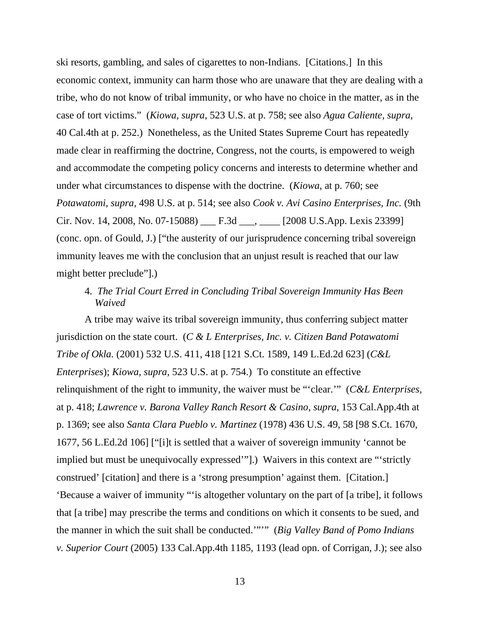ski resorts, gambling, and sales of cigarettes to non-Indians. [Citations.] In this economic context, immunity can harm those who are unaware that they are dealing with a tribe, who do not know of tribal immunity, or who have no choice in the matter, as in the case of tort victims." (*Kiowa, supra,* 523 U.S. at p. 758; see also *Agua Caliente, supra,*  40 Cal.4th at p. 252.) Nonetheless, as the United States Supreme Court has repeatedly made clear in reaffirming the doctrine, Congress, not the courts, is empowered to weigh and accommodate the competing policy concerns and interests to determine whether and under what circumstances to dispense with the doctrine. (*Kiowa*, at p. 760; see *Potawatomi, supra,* 498 U.S. at p. 514; see also *Cook v. Avi Casino Enterprises, Inc.* (9th Cir. Nov. 14, 2008, No. 07-15088) \_\_\_ F.3d \_\_\_, \_\_\_\_ [2008 U.S.App. Lexis 23399] (conc. opn. of Gould, J.) ["the austerity of our jurisprudence concerning tribal sovereign immunity leaves me with the conclusion that an unjust result is reached that our law might better preclude"].)

# 4. *The Trial Court Erred in Concluding Tribal Sovereign Immunity Has Been Waived*

A tribe may waive its tribal sovereign immunity, thus conferring subject matter jurisdiction on the state court. (*C & L Enterprises, Inc. v. Citizen Band Potawatomi Tribe of Okla.* (2001) 532 U.S. 411, 418 [121 S.Ct. 1589, 149 L.Ed.2d 623] (*C&L Enterprises*); *Kiowa, supra,* 523 U.S. at p. 754.) To constitute an effective relinquishment of the right to immunity, the waiver must be "'clear.'" (*C&L Enterprises,*  at p. 418; *Lawrence v. Barona Valley Ranch Resort & Casino, supra,* 153 Cal.App.4th at p. 1369; see also *Santa Clara Pueblo v. Martinez* (1978) 436 U.S. 49, 58 [98 S.Ct. 1670, 1677, 56 L.Ed.2d 106] ["[i]t is settled that a waiver of sovereign immunity 'cannot be implied but must be unequivocally expressed'"].) Waivers in this context are "'strictly construed' [citation] and there is a 'strong presumption' against them. [Citation.] 'Because a waiver of immunity "'is altogether voluntary on the part of [a tribe], it follows that [a tribe] may prescribe the terms and conditions on which it consents to be sued, and the manner in which the suit shall be conducted.'"'" (*Big Valley Band of Pomo Indians v. Superior Court* (2005) 133 Cal.App.4th 1185, 1193 (lead opn. of Corrigan, J.); see also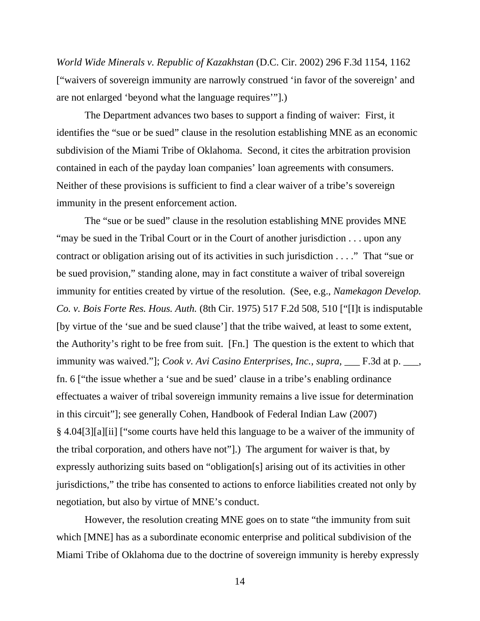*World Wide Minerals v. Republic of Kazakhstan* (D.C. Cir. 2002) 296 F.3d 1154, 1162 ["waivers of sovereign immunity are narrowly construed 'in favor of the sovereign' and are not enlarged 'beyond what the language requires'"].)

 The Department advances two bases to support a finding of waiver: First, it identifies the "sue or be sued" clause in the resolution establishing MNE as an economic subdivision of the Miami Tribe of Oklahoma. Second, it cites the arbitration provision contained in each of the payday loan companies' loan agreements with consumers. Neither of these provisions is sufficient to find a clear waiver of a tribe's sovereign immunity in the present enforcement action.

 The "sue or be sued" clause in the resolution establishing MNE provides MNE "may be sued in the Tribal Court or in the Court of another jurisdiction . . . upon any contract or obligation arising out of its activities in such jurisdiction . . . ." That "sue or be sued provision," standing alone, may in fact constitute a waiver of tribal sovereign immunity for entities created by virtue of the resolution. (See, e.g., *Namekagon Develop. Co. v. Bois Forte Res. Hous. Auth.* (8th Cir. 1975) 517 F.2d 508, 510 ["[I]t is indisputable [by virtue of the 'sue and be sued clause'] that the tribe waived, at least to some extent, the Authority's right to be free from suit. [Fn.] The question is the extent to which that immunity was waived."]; *Cook v. Avi Casino Enterprises, Inc., supra, \_\_\_ F.3d at p. \_\_*, fn. 6 ["the issue whether a 'sue and be sued' clause in a tribe's enabling ordinance effectuates a waiver of tribal sovereign immunity remains a live issue for determination in this circuit"]; see generally Cohen, Handbook of Federal Indian Law (2007) § 4.04[3][a][ii] ["some courts have held this language to be a waiver of the immunity of the tribal corporation, and others have not"].) The argument for waiver is that, by expressly authorizing suits based on "obligation[s] arising out of its activities in other jurisdictions," the tribe has consented to actions to enforce liabilities created not only by negotiation, but also by virtue of MNE's conduct.

 However, the resolution creating MNE goes on to state "the immunity from suit which [MNE] has as a subordinate economic enterprise and political subdivision of the Miami Tribe of Oklahoma due to the doctrine of sovereign immunity is hereby expressly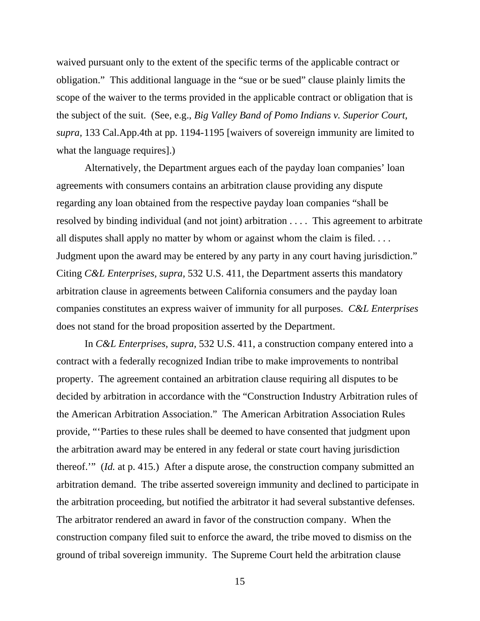waived pursuant only to the extent of the specific terms of the applicable contract or obligation." This additional language in the "sue or be sued" clause plainly limits the scope of the waiver to the terms provided in the applicable contract or obligation that is the subject of the suit. (See, e.g., *Big Valley Band of Pomo Indians v. Superior Court, supra,* 133 Cal.App.4th at pp. 1194-1195 [waivers of sovereign immunity are limited to what the language requires].)

 Alternatively, the Department argues each of the payday loan companies' loan agreements with consumers contains an arbitration clause providing any dispute regarding any loan obtained from the respective payday loan companies "shall be resolved by binding individual (and not joint) arbitration . . . . This agreement to arbitrate all disputes shall apply no matter by whom or against whom the claim is filed. . . . Judgment upon the award may be entered by any party in any court having jurisdiction." Citing *C&L Enterprises, supra,* 532 U.S. 411, the Department asserts this mandatory arbitration clause in agreements between California consumers and the payday loan companies constitutes an express waiver of immunity for all purposes. *C&L Enterprises*  does not stand for the broad proposition asserted by the Department.

 In *C&L Enterprises, supra,* 532 U.S. 411, a construction company entered into a contract with a federally recognized Indian tribe to make improvements to nontribal property. The agreement contained an arbitration clause requiring all disputes to be decided by arbitration in accordance with the "Construction Industry Arbitration rules of the American Arbitration Association." The American Arbitration Association Rules provide, "'Parties to these rules shall be deemed to have consented that judgment upon the arbitration award may be entered in any federal or state court having jurisdiction thereof.'" (*Id.* at p. 415.) After a dispute arose, the construction company submitted an arbitration demand. The tribe asserted sovereign immunity and declined to participate in the arbitration proceeding, but notified the arbitrator it had several substantive defenses. The arbitrator rendered an award in favor of the construction company. When the construction company filed suit to enforce the award, the tribe moved to dismiss on the ground of tribal sovereign immunity. The Supreme Court held the arbitration clause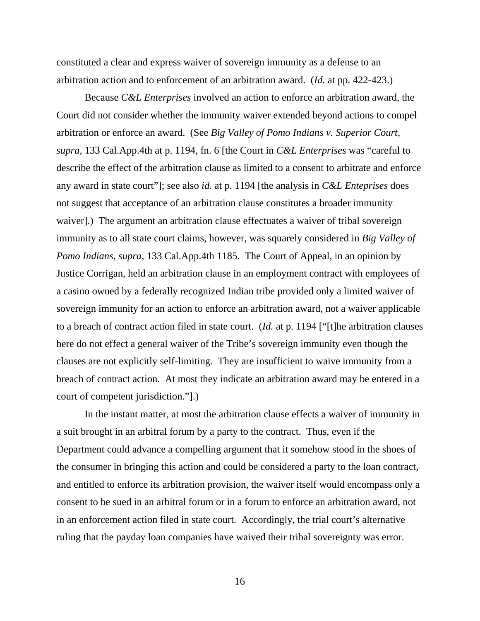constituted a clear and express waiver of sovereign immunity as a defense to an arbitration action and to enforcement of an arbitration award. (*Id.* at pp. 422-423.)

 Because *C&L Enterprises* involved an action to enforce an arbitration award, the Court did not consider whether the immunity waiver extended beyond actions to compel arbitration or enforce an award. (See *Big Valley of Pomo Indians v. Superior Court, supra,* 133 Cal.App.4th at p. 1194, fn. 6 [the Court in *C&L Enterprises* was "careful to describe the effect of the arbitration clause as limited to a consent to arbitrate and enforce any award in state court"]; see also *id.* at p. 1194 [the analysis in *C&L Enteprises* does not suggest that acceptance of an arbitration clause constitutes a broader immunity waiver].) The argument an arbitration clause effectuates a waiver of tribal sovereign immunity as to all state court claims, however, was squarely considered in *Big Valley of Pomo Indians, supra,* 133 Cal.App.4th 1185. The Court of Appeal, in an opinion by Justice Corrigan, held an arbitration clause in an employment contract with employees of a casino owned by a federally recognized Indian tribe provided only a limited waiver of sovereign immunity for an action to enforce an arbitration award, not a waiver applicable to a breach of contract action filed in state court. (*Id.* at p. 1194 ["[t]he arbitration clauses here do not effect a general waiver of the Tribe's sovereign immunity even though the clauses are not explicitly self-limiting. They are insufficient to waive immunity from a breach of contract action. At most they indicate an arbitration award may be entered in a court of competent jurisdiction."].)

 In the instant matter, at most the arbitration clause effects a waiver of immunity in a suit brought in an arbitral forum by a party to the contract. Thus, even if the Department could advance a compelling argument that it somehow stood in the shoes of the consumer in bringing this action and could be considered a party to the loan contract, and entitled to enforce its arbitration provision, the waiver itself would encompass only a consent to be sued in an arbitral forum or in a forum to enforce an arbitration award, not in an enforcement action filed in state court. Accordingly, the trial court's alternative ruling that the payday loan companies have waived their tribal sovereignty was error.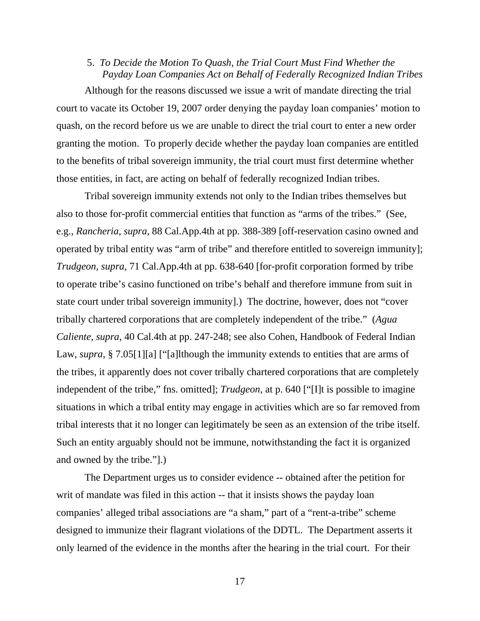## 5. *To Decide the Motion To Quash, the Trial Court Must Find Whether the Payday Loan Companies Act on Behalf of Federally Recognized Indian Tribes*

 Although for the reasons discussed we issue a writ of mandate directing the trial court to vacate its October 19, 2007 order denying the payday loan companies' motion to quash, on the record before us we are unable to direct the trial court to enter a new order granting the motion. To properly decide whether the payday loan companies are entitled to the benefits of tribal sovereign immunity, the trial court must first determine whether those entities, in fact, are acting on behalf of federally recognized Indian tribes.

 Tribal sovereign immunity extends not only to the Indian tribes themselves but also to those for-profit commercial entities that function as "arms of the tribes." (See, e.g., *Rancheria, supra,* 88 Cal.App.4th at pp. 388-389 [off-reservation casino owned and operated by tribal entity was "arm of tribe" and therefore entitled to sovereign immunity]; *Trudgeon, supra,* 71 Cal.App.4th at pp. 638-640 [for-profit corporation formed by tribe to operate tribe's casino functioned on tribe's behalf and therefore immune from suit in state court under tribal sovereign immunity].) The doctrine, however, does not "cover tribally chartered corporations that are completely independent of the tribe." (*Agua Caliente, supra,* 40 Cal.4th at pp. 247-248; see also Cohen, Handbook of Federal Indian Law, *supra*, § 7.05[1][a] ["[a]lthough the immunity extends to entities that are arms of the tribes, it apparently does not cover tribally chartered corporations that are completely independent of the tribe," fns. omitted]; *Trudgeon,* at p. 640 ["[I]t is possible to imagine situations in which a tribal entity may engage in activities which are so far removed from tribal interests that it no longer can legitimately be seen as an extension of the tribe itself. Such an entity arguably should not be immune, notwithstanding the fact it is organized and owned by the tribe."].)

 The Department urges us to consider evidence -- obtained after the petition for writ of mandate was filed in this action -- that it insists shows the payday loan companies' alleged tribal associations are "a sham," part of a "rent-a-tribe" scheme designed to immunize their flagrant violations of the DDTL. The Department asserts it only learned of the evidence in the months after the hearing in the trial court. For their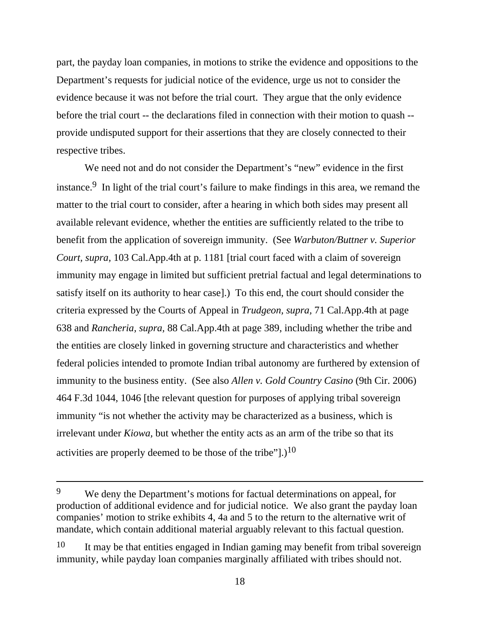part, the payday loan companies, in motions to strike the evidence and oppositions to the Department's requests for judicial notice of the evidence, urge us not to consider the evidence because it was not before the trial court. They argue that the only evidence before the trial court -- the declarations filed in connection with their motion to quash - provide undisputed support for their assertions that they are closely connected to their respective tribes.

 We need not and do not consider the Department's "new" evidence in the first instance.9 In light of the trial court's failure to make findings in this area, we remand the matter to the trial court to consider, after a hearing in which both sides may present all available relevant evidence, whether the entities are sufficiently related to the tribe to benefit from the application of sovereign immunity. (See *Warbuton/Buttner v. Superior Court, supra,* 103 Cal.App.4th at p. 1181 [trial court faced with a claim of sovereign immunity may engage in limited but sufficient pretrial factual and legal determinations to satisfy itself on its authority to hear case].) To this end, the court should consider the criteria expressed by the Courts of Appeal in *Trudgeon, supra,* 71 Cal.App.4th at page 638 and *Rancheria, supra,* 88 Cal.App.4th at page 389, including whether the tribe and the entities are closely linked in governing structure and characteristics and whether federal policies intended to promote Indian tribal autonomy are furthered by extension of immunity to the business entity. (See also *Allen v. Gold Country Casino* (9th Cir. 2006) 464 F.3d 1044, 1046 [the relevant question for purposes of applying tribal sovereign immunity "is not whether the activity may be characterized as a business, which is irrelevant under *Kiowa,* but whether the entity acts as an arm of the tribe so that its activities are properly deemed to be those of the tribe"].)<sup>10</sup>

<sup>9</sup>We deny the Department's motions for factual determinations on appeal, for production of additional evidence and for judicial notice. We also grant the payday loan companies' motion to strike exhibits 4, 4a and 5 to the return to the alternative writ of mandate, which contain additional material arguably relevant to this factual question.

<sup>10</sup>It may be that entities engaged in Indian gaming may benefit from tribal sovereign immunity, while payday loan companies marginally affiliated with tribes should not.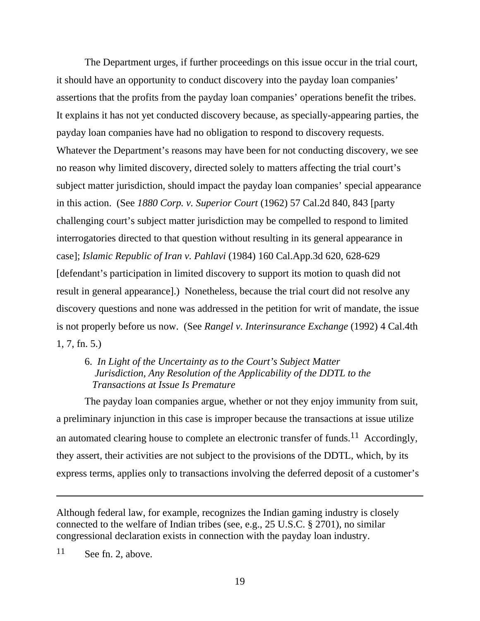The Department urges, if further proceedings on this issue occur in the trial court, it should have an opportunity to conduct discovery into the payday loan companies' assertions that the profits from the payday loan companies' operations benefit the tribes. It explains it has not yet conducted discovery because, as specially-appearing parties, the payday loan companies have had no obligation to respond to discovery requests. Whatever the Department's reasons may have been for not conducting discovery, we see no reason why limited discovery, directed solely to matters affecting the trial court's subject matter jurisdiction, should impact the payday loan companies' special appearance in this action. (See *1880 Corp. v. Superior Court* (1962) 57 Cal.2d 840, 843 [party challenging court's subject matter jurisdiction may be compelled to respond to limited interrogatories directed to that question without resulting in its general appearance in case]; *Islamic Republic of Iran v. Pahlavi* (1984) 160 Cal.App.3d 620, 628-629 [defendant's participation in limited discovery to support its motion to quash did not result in general appearance].) Nonetheless, because the trial court did not resolve any discovery questions and none was addressed in the petition for writ of mandate, the issue is not properly before us now. (See *Rangel v. Interinsurance Exchange* (1992) 4 Cal.4th 1, 7, fn. 5.)

## 6. *In Light of the Uncertainty as to the Court's Subject Matter Jurisdiction, Any Resolution of the Applicability of the DDTL to the Transactions at Issue Is Premature*

 The payday loan companies argue, whether or not they enjoy immunity from suit, a preliminary injunction in this case is improper because the transactions at issue utilize an automated clearing house to complete an electronic transfer of funds.<sup>11</sup> Accordingly, they assert, their activities are not subject to the provisions of the DDTL, which, by its express terms, applies only to transactions involving the deferred deposit of a customer's

Although federal law, for example, recognizes the Indian gaming industry is closely connected to the welfare of Indian tribes (see, e.g., 25 U.S.C. § 2701), no similar congressional declaration exists in connection with the payday loan industry.

11See fn. 2, above.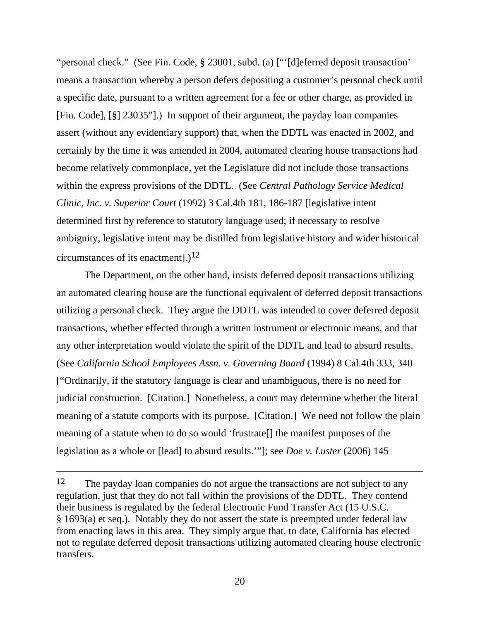"personal check." (See Fin. Code, § 23001, subd. (a) ["'[d]eferred deposit transaction' means a transaction whereby a person defers depositing a customer's personal check until a specific date, pursuant to a written agreement for a fee or other charge, as provided in [Fin. Code], [§] 23035"].) In support of their argument, the payday loan companies assert (without any evidentiary support) that, when the DDTL was enacted in 2002, and certainly by the time it was amended in 2004, automated clearing house transactions had become relatively commonplace, yet the Legislature did not include those transactions within the express provisions of the DDTL. (See *Central Pathology Service Medical Clinic, Inc. v. Superior Court* (1992) 3 Cal.4th 181, 186-187 [legislative intent determined first by reference to statutory language used; if necessary to resolve ambiguity, legislative intent may be distilled from legislative history and wider historical circumstances of its enactment].)<sup>12</sup>

 The Department, on the other hand, insists deferred deposit transactions utilizing an automated clearing house are the functional equivalent of deferred deposit transactions utilizing a personal check. They argue the DDTL was intended to cover deferred deposit transactions, whether effected through a written instrument or electronic means, and that any other interpretation would violate the spirit of the DDTL and lead to absurd results. (See *California School Employees Assn. v. Governing Board* (1994) 8 Cal.4th 333, 340 ["Ordinarily, if the statutory language is clear and unambiguous, there is no need for judicial construction. [Citation.] Nonetheless, a court may determine whether the literal meaning of a statute comports with its purpose. [Citation.] We need not follow the plain meaning of a statute when to do so would 'frustrate[] the manifest purposes of the legislation as a whole or [lead] to absurd results.'"]; see *Doe v. Luster* (2006) 145

<sup>12</sup>The payday loan companies do not argue the transactions are not subject to any regulation, just that they do not fall within the provisions of the DDTL. They contend their business is regulated by the federal Electronic Fund Transfer Act (15 U.S.C. § 1693(a) et seq.). Notably they do not assert the state is preempted under federal law from enacting laws in this area. They simply argue that, to date, California has elected not to regulate deferred deposit transactions utilizing automated clearing house electronic transfers.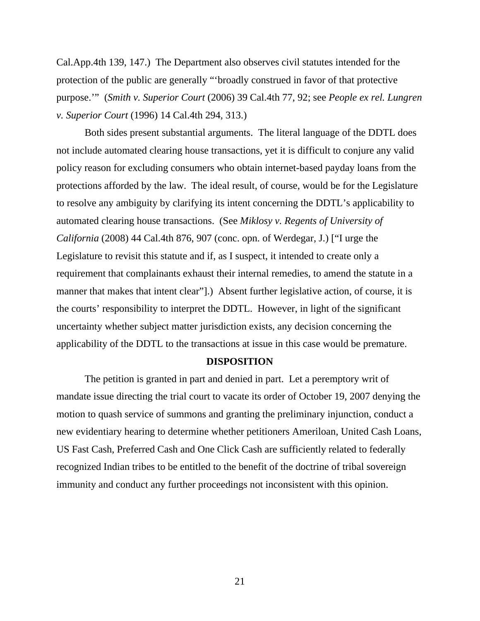Cal.App.4th 139, 147.) The Department also observes civil statutes intended for the protection of the public are generally "'broadly construed in favor of that protective purpose.'" (*Smith v. Superior Court* (2006) 39 Cal.4th 77, 92; see *People ex rel. Lungren v. Superior Court* (1996) 14 Cal.4th 294, 313.)

Both sides present substantial arguments. The literal language of the DDTL does not include automated clearing house transactions, yet it is difficult to conjure any valid policy reason for excluding consumers who obtain internet-based payday loans from the protections afforded by the law. The ideal result, of course, would be for the Legislature to resolve any ambiguity by clarifying its intent concerning the DDTL's applicability to automated clearing house transactions. (See *Miklosy v. Regents of University of California* (2008) 44 Cal.4th 876, 907 (conc. opn. of Werdegar, J.) ["I urge the Legislature to revisit this statute and if, as I suspect, it intended to create only a requirement that complainants exhaust their internal remedies, to amend the statute in a manner that makes that intent clear"].) Absent further legislative action, of course, it is the courts' responsibility to interpret the DDTL. However, in light of the significant uncertainty whether subject matter jurisdiction exists, any decision concerning the applicability of the DDTL to the transactions at issue in this case would be premature.

### **DISPOSITION**

The petition is granted in part and denied in part. Let a peremptory writ of mandate issue directing the trial court to vacate its order of October 19, 2007 denying the motion to quash service of summons and granting the preliminary injunction, conduct a new evidentiary hearing to determine whether petitioners Ameriloan, United Cash Loans, US Fast Cash, Preferred Cash and One Click Cash are sufficiently related to federally recognized Indian tribes to be entitled to the benefit of the doctrine of tribal sovereign immunity and conduct any further proceedings not inconsistent with this opinion.